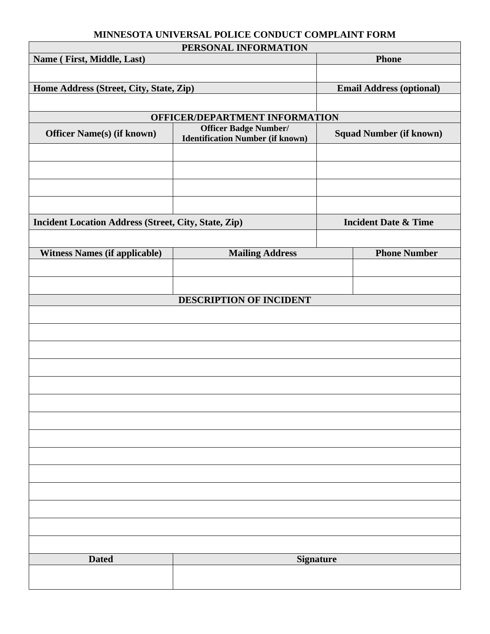#### **MINNESOTA UNIVERSAL POLICE CONDUCT COMPLAINT FORM**

| PERSONAL INFORMATION                                        |                                         |                                 |                                |
|-------------------------------------------------------------|-----------------------------------------|---------------------------------|--------------------------------|
| Name (First, Middle, Last)                                  |                                         | <b>Phone</b>                    |                                |
|                                                             |                                         |                                 |                                |
|                                                             |                                         |                                 |                                |
| Home Address (Street, City, State, Zip)                     |                                         | <b>Email Address (optional)</b> |                                |
|                                                             |                                         |                                 |                                |
| OFFICER/DEPARTMENT INFORMATION                              |                                         |                                 |                                |
| <b>Officer Name(s) (if known)</b>                           | Officer Badge Number/                   |                                 | <b>Squad Number (if known)</b> |
|                                                             | <b>Identification Number (if known)</b> |                                 |                                |
|                                                             |                                         |                                 |                                |
|                                                             |                                         |                                 |                                |
|                                                             |                                         |                                 |                                |
|                                                             |                                         |                                 |                                |
|                                                             |                                         |                                 |                                |
|                                                             |                                         |                                 |                                |
| <b>Incident Location Address (Street, City, State, Zip)</b> |                                         | <b>Incident Date &amp; Time</b> |                                |
|                                                             |                                         |                                 |                                |
| <b>Witness Names (if applicable)</b>                        |                                         | <b>Mailing Address</b>          |                                |
|                                                             |                                         | <b>Phone Number</b>             |                                |
|                                                             |                                         |                                 |                                |
|                                                             |                                         |                                 |                                |
| DESCRIPTION OF INCIDENT                                     |                                         |                                 |                                |
|                                                             |                                         |                                 |                                |
|                                                             |                                         |                                 |                                |
|                                                             |                                         |                                 |                                |
|                                                             |                                         |                                 |                                |
|                                                             |                                         |                                 |                                |
|                                                             |                                         |                                 |                                |
|                                                             |                                         |                                 |                                |
|                                                             |                                         |                                 |                                |
|                                                             |                                         |                                 |                                |
|                                                             |                                         |                                 |                                |
|                                                             |                                         |                                 |                                |
|                                                             |                                         |                                 |                                |
|                                                             |                                         |                                 |                                |
|                                                             |                                         |                                 |                                |
|                                                             |                                         |                                 |                                |
|                                                             |                                         |                                 |                                |
|                                                             |                                         |                                 |                                |
|                                                             |                                         |                                 |                                |
|                                                             |                                         |                                 |                                |
|                                                             |                                         |                                 |                                |
| <b>Dated</b>                                                | <b>Signature</b>                        |                                 |                                |
|                                                             |                                         |                                 |                                |
|                                                             |                                         |                                 |                                |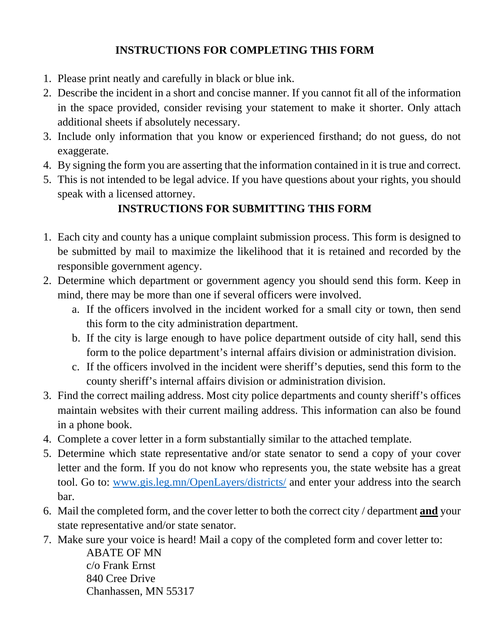## **INSTRUCTIONS FOR COMPLETING THIS FORM**

- 1. Please print neatly and carefully in black or blue ink.
- 2. Describe the incident in a short and concise manner. If you cannot fit all of the information in the space provided, consider revising your statement to make it shorter. Only attach additional sheets if absolutely necessary.
- 3. Include only information that you know or experienced firsthand; do not guess, do not exaggerate.
- 4. By signing the form you are asserting that the information contained in it is true and correct.
- 5. This is not intended to be legal advice. If you have questions about your rights, you should speak with a licensed attorney.

# **INSTRUCTIONS FOR SUBMITTING THIS FORM**

- 1. Each city and county has a unique complaint submission process. This form is designed to be submitted by mail to maximize the likelihood that it is retained and recorded by the responsible government agency.
- 2. Determine which department or government agency you should send this form. Keep in mind, there may be more than one if several officers were involved.
	- a. If the officers involved in the incident worked for a small city or town, then send this form to the city administration department.
	- b. If the city is large enough to have police department outside of city hall, send this form to the police department's internal affairs division or administration division.
	- c. If the officers involved in the incident were sheriff's deputies, send this form to the county sheriff's internal affairs division or administration division.
- 3. Find the correct mailing address. Most city police departments and county sheriff's offices maintain websites with their current mailing address. This information can also be found in a phone book.
- 4. Complete a cover letter in a form substantially similar to the attached template.
- 5. Determine which state representative and/or state senator to send a copy of your cover letter and the form. If you do not know who represents you, the state website has a great tool. Go to: www.gis.leg.mn/OpenLayers/districts/ and enter your address into the search bar.
- 6. Mail the completed form, and the cover letter to both the correct city / department **and** your state representative and/or state senator.
- 7. Make sure your voice is heard! Mail a copy of the completed form and cover letter to:

ABATE OF MN c/o Frank Ernst 840 Cree Drive Chanhassen, MN 55317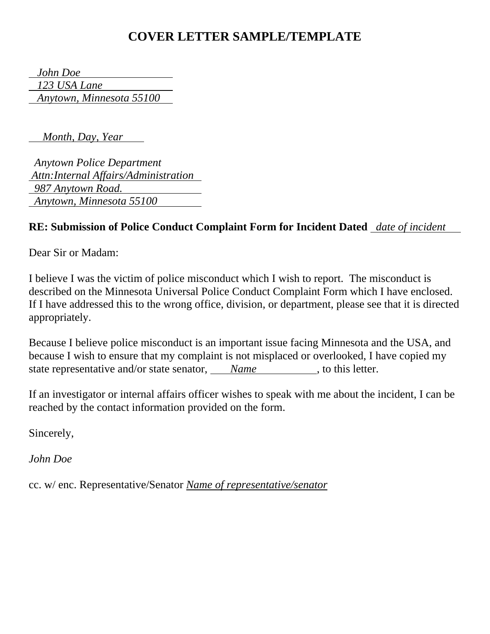# **COVER LETTER SAMPLE/TEMPLATE**

 *John Doe 123 USA Lane Anytown, Minnesota 55100*

 *Month, Day, Year*

 *Anytown Police Department Attn:Internal Affairs/Administration 987 Anytown Road. Anytown, Minnesota 55100*

#### **RE: Submission of Police Conduct Complaint Form for Incident Dated** *date of incident*

Dear Sir or Madam:

I believe I was the victim of police misconduct which I wish to report. The misconduct is described on the Minnesota Universal Police Conduct Complaint Form which I have enclosed. If I have addressed this to the wrong office, division, or department, please see that it is directed appropriately.

Because I believe police misconduct is an important issue facing Minnesota and the USA, and because I wish to ensure that my complaint is not misplaced or overlooked, I have copied my state representative and/or state senator, *Name*, to this letter.

If an investigator or internal affairs officer wishes to speak with me about the incident, I can be reached by the contact information provided on the form.

Sincerely,

*John Doe* 

cc. w/ enc. Representative/Senator *Name of representative/senator*